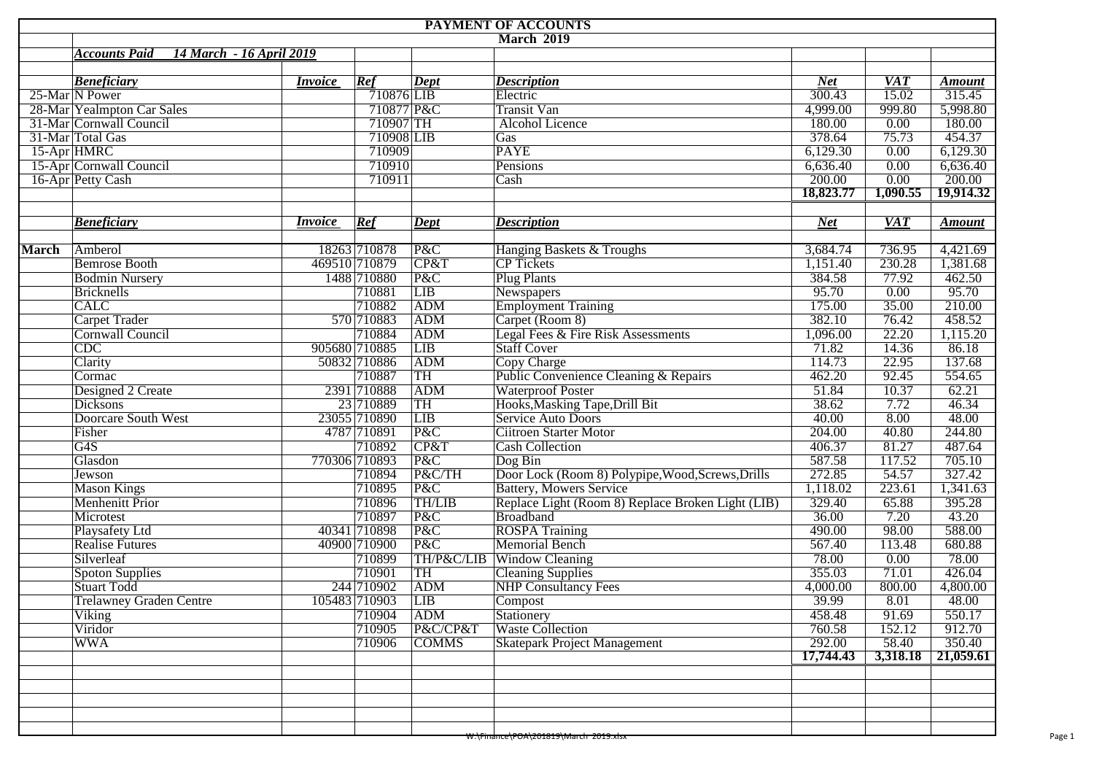| PAYMENT OF ACCOUNTS        |                                                  |                |               |              |                                                   |            |            |               |  |  |  |  |
|----------------------------|--------------------------------------------------|----------------|---------------|--------------|---------------------------------------------------|------------|------------|---------------|--|--|--|--|
|                            |                                                  |                |               |              | <b>March 2019</b>                                 |            |            |               |  |  |  |  |
|                            | 14 March - 16 April 2019<br><b>Accounts Paid</b> |                |               |              |                                                   |            |            |               |  |  |  |  |
|                            |                                                  |                |               |              |                                                   |            |            |               |  |  |  |  |
|                            | <b>Beneficiary</b>                               | <i>Invoice</i> | Ref           | $\sqrt{$     | <b>Description</b>                                | <b>Net</b> | <b>VAT</b> | <b>Amount</b> |  |  |  |  |
|                            | 25-Mar N Power                                   |                | 710876 LIB    |              | Electric                                          | 300.43     | 15.02      | 315.45        |  |  |  |  |
| 28-Mar Yealmpton Car Sales |                                                  |                | 710877 P&C    |              | <b>Transit Van</b>                                | 4,999.00   | 999.80     | 5,998.80      |  |  |  |  |
| 31-Mar Cornwall Council    |                                                  |                | 710907 TH     |              | <b>Alcohol Licence</b>                            | 180.00     | 0.00       | 180.00        |  |  |  |  |
| 31-Mar Total Gas           |                                                  |                | 710908 LIB    |              | Gas                                               | 378.64     | 75.73      | 454.37        |  |  |  |  |
| 15-Apr HMRC                |                                                  |                | 710909        |              | <b>PAYE</b>                                       | 6,129.30   | 0.00       | 6,129.30      |  |  |  |  |
| 15-Apr Cornwall Council    |                                                  |                | 710910        |              | Pensions                                          | 6,636.40   | 0.00       | 6,636.40      |  |  |  |  |
|                            | 16-Apr Petty Cash                                |                | 710911        |              | Cash                                              | 200.00     | 0.00       | 200.00        |  |  |  |  |
|                            |                                                  |                |               |              |                                                   | 18,823.77  | 1,090.55   | 19,914.32     |  |  |  |  |
|                            |                                                  |                |               |              |                                                   |            |            |               |  |  |  |  |
|                            | <b>Beneficiary</b>                               | <i>Invoice</i> | Ref           | Dept         | <b>Description</b>                                | <b>Net</b> | <b>VAT</b> | <b>Amount</b> |  |  |  |  |
| <b>March</b>               | Amberol                                          |                | 18263 710878  | P&C          | Hanging Baskets & Troughs                         | 3,684.74   | 736.95     | 4,421.69      |  |  |  |  |
|                            | <b>Bemrose Booth</b>                             |                | 469510 710879 | CP&T         | <b>CP</b> Tickets                                 | 1,151.40   | 230.28     | 1,381.68      |  |  |  |  |
|                            | <b>Bodmin Nursery</b>                            |                | 1488 710880   | P&C          | <b>Plug Plants</b>                                | 384.58     | 77.92      | 462.50        |  |  |  |  |
|                            | <b>Bricknells</b>                                |                | 710881        | LIB          | Newspapers                                        | 95.70      | 0.00       | 95.70         |  |  |  |  |
|                            | <b>CALC</b>                                      |                | 710882        | ADM          | <b>Employment Training</b>                        | 175.00     | 35.00      | 210.00        |  |  |  |  |
|                            |                                                  |                | 570 710883    | <b>ADM</b>   |                                                   | 382.10     | 76.42      | 458.52        |  |  |  |  |
|                            | <b>Carpet Trader</b>                             |                |               |              | Carpet (Room 8)                                   |            |            |               |  |  |  |  |
|                            | Cornwall Council                                 |                | 710884        | ADM          | Legal Fees & Fire Risk Assessments                | 1,096.00   | 22.20      | 1,115.20      |  |  |  |  |
|                            | $\overline{CDC}$                                 |                | 905680 710885 | LIB          | <b>Staff Cover</b>                                | 71.82      | 14.36      | 86.18         |  |  |  |  |
|                            | Clarity                                          |                | 50832 710886  | ADM          | Copy Charge                                       | 114.73     | 22.95      | 137.68        |  |  |  |  |
|                            | Cormac                                           |                | 710887        | TH           | Public Convenience Cleaning & Repairs             | 462.20     | 92.45      | 554.65        |  |  |  |  |
|                            | Designed 2 Create                                |                | 2391 710888   | ADM          | <b>Waterproof Poster</b>                          | 51.84      | 10.37      | 62.21         |  |  |  |  |
|                            | Dicksons                                         |                | 23 710889     | TH           | Hooks, Masking Tape, Drill Bit                    | 38.62      | 7.72       | 46.34         |  |  |  |  |
|                            | Doorcare South West                              |                | 23055 710890  | LIB          | Service Auto Doors                                | 40.00      | 8.00       | 48.00         |  |  |  |  |
|                            | Fisher                                           |                | 4787 710891   | P&C          | <b>Ciitroen Starter Motor</b>                     | 204.00     | 40.80      | 244.80        |  |  |  |  |
|                            | G <sub>4</sub> S                                 |                | 710892        | CP&T         | <b>Cash Collection</b>                            | 406.37     | 81.27      | 487.64        |  |  |  |  |
|                            | Glasdon                                          |                | 770306 710893 | P&C          | Dog Bin                                           | 587.58     | 117.52     | 705.10        |  |  |  |  |
|                            | Jewson                                           |                | 710894        | P&C/TH       | Door Lock (Room 8) Polypipe, Wood, Screws, Drills | 272.85     | 54.57      | 327.42        |  |  |  |  |
|                            | <b>Mason Kings</b>                               |                | 710895        | P&C          | <b>Battery, Mowers Service</b>                    | 1,118.02   | 223.61     | 1,341.63      |  |  |  |  |
|                            | <b>Menhenitt Prior</b>                           |                | 710896        | TH/LIB       | Replace Light (Room 8) Replace Broken Light (LIB) | 329.40     | 65.88      | 395.28        |  |  |  |  |
|                            | Microtest                                        |                | 710897        | P&C          | Broadband                                         | 36.00      | 7.20       | 43.20         |  |  |  |  |
|                            | Playsafety Ltd                                   |                | 40341 710898  | P&C          | <b>ROSPA</b> Training                             | 490.00     | 98.00      | 588.00        |  |  |  |  |
|                            | <b>Realise Futures</b>                           |                | 40900 710900  | P&C          | Memorial Bench                                    | 567.40     | 113.48     | 680.88        |  |  |  |  |
|                            | Silverleaf                                       |                | 710899        | TH/P&C/LIB   | <b>Window Cleaning</b>                            | 78.00      | 0.00       | 78.00         |  |  |  |  |
|                            | Spoton Supplies                                  |                | 710901        | TH           | <b>Cleaning Supplies</b>                          | 355.03     | 71.01      | 426.04        |  |  |  |  |
|                            | Stuart Todd                                      |                | 244 710902    | ADM          | <b>NHP Consultancy Fees</b>                       | 4,000.00   | 800.00     | 4,800.00      |  |  |  |  |
|                            | <b>Trelawney Graden Centre</b>                   |                | 105483 710903 | LIB          | Compost                                           | 39.99      | 8.01       | 48.00         |  |  |  |  |
|                            | Viking                                           |                | 710904        | <b>ADM</b>   | Stationery                                        | 458.48     | 91.69      | 550.17        |  |  |  |  |
|                            | Viridor                                          |                | 710905        | P&C/CP&T     | <b>Waste Collection</b>                           | 760.58     | 152.12     | 912.70        |  |  |  |  |
|                            | <b>WWA</b>                                       |                | 710906        | <b>COMMS</b> | <b>Skatepark Project Management</b>               | 292.00     | 58.40      | 350.40        |  |  |  |  |
|                            |                                                  |                |               |              |                                                   | 17,744.43  | 3,318.18   | 21,059.61     |  |  |  |  |
|                            |                                                  |                |               |              |                                                   |            |            |               |  |  |  |  |
|                            |                                                  |                |               |              |                                                   |            |            |               |  |  |  |  |
|                            |                                                  |                |               |              |                                                   |            |            |               |  |  |  |  |
|                            |                                                  |                |               |              |                                                   |            |            |               |  |  |  |  |
|                            |                                                  |                |               |              |                                                   |            |            |               |  |  |  |  |